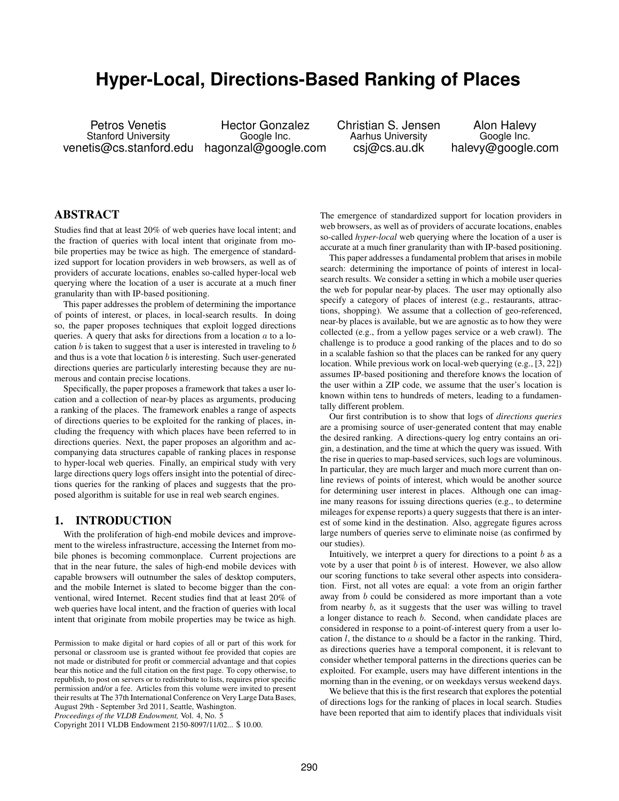# **Hyper-Local, Directions-Based Ranking of Places**

Stanford University venetis@cs.stanford.edu hagonzal@google.com csj@cs.au.dk halevy@google.com

Petros Venetis Hector Gonzalez Christian S. Jensen Alon Halevy

### ABSTRACT

Studies find that at least 20% of web queries have local intent; and the fraction of queries with local intent that originate from mobile properties may be twice as high. The emergence of standardized support for location providers in web browsers, as well as of providers of accurate locations, enables so-called hyper-local web querying where the location of a user is accurate at a much finer granularity than with IP-based positioning.

This paper addresses the problem of determining the importance of points of interest, or places, in local-search results. In doing so, the paper proposes techniques that exploit logged directions queries. A query that asks for directions from a location  $a$  to a location  $b$  is taken to suggest that a user is interested in traveling to  $b$ and thus is a vote that location  $b$  is interesting. Such user-generated directions queries are particularly interesting because they are numerous and contain precise locations.

Specifically, the paper proposes a framework that takes a user location and a collection of near-by places as arguments, producing a ranking of the places. The framework enables a range of aspects of directions queries to be exploited for the ranking of places, including the frequency with which places have been referred to in directions queries. Next, the paper proposes an algorithm and accompanying data structures capable of ranking places in response to hyper-local web queries. Finally, an empirical study with very large directions query logs offers insight into the potential of directions queries for the ranking of places and suggests that the proposed algorithm is suitable for use in real web search engines.

### <span id="page-0-0"></span>1. INTRODUCTION

With the proliferation of high-end mobile devices and improvement to the wireless infrastructure, accessing the Internet from mobile phones is becoming commonplace. Current projections are that in the near future, the sales of high-end mobile devices with capable browsers will outnumber the sales of desktop computers, and the mobile Internet is slated to become bigger than the conventional, wired Internet. Recent studies find that at least 20% of web queries have local intent, and the fraction of queries with local intent that originate from mobile properties may be twice as high.

*Proceedings of the VLDB Endowment,* Vol. 4, No. 5

Copyright 2011 VLDB Endowment 2150-8097/11/02... \$ 10.00.

The emergence of standardized support for location providers in web browsers, as well as of providers of accurate locations, enables so-called *hyper-local* web querying where the location of a user is accurate at a much finer granularity than with IP-based positioning.

This paper addresses a fundamental problem that arises in mobile search: determining the importance of points of interest in localsearch results. We consider a setting in which a mobile user queries the web for popular near-by places. The user may optionally also specify a category of places of interest (e.g., restaurants, attractions, shopping). We assume that a collection of geo-referenced, near-by places is available, but we are agnostic as to how they were collected (e.g., from a yellow pages service or a web crawl). The challenge is to produce a good ranking of the places and to do so in a scalable fashion so that the places can be ranked for any query location. While previous work on local-web querying (e.g., [\[3,](#page-7-0) [22\]](#page-7-1)) assumes IP-based positioning and therefore knows the location of the user within a ZIP code, we assume that the user's location is known within tens to hundreds of meters, leading to a fundamentally different problem.

Our first contribution is to show that logs of *directions queries* are a promising source of user-generated content that may enable the desired ranking. A directions-query log entry contains an origin, a destination, and the time at which the query was issued. With the rise in queries to map-based services, such logs are voluminous. In particular, they are much larger and much more current than online reviews of points of interest, which would be another source for determining user interest in places. Although one can imagine many reasons for issuing directions queries (e.g., to determine mileages for expense reports) a query suggests that there is an interest of some kind in the destination. Also, aggregate figures across large numbers of queries serve to eliminate noise (as confirmed by our studies).

Intuitively, we interpret a query for directions to a point  $b$  as a vote by a user that point  $b$  is of interest. However, we also allow our scoring functions to take several other aspects into consideration. First, not all votes are equal: a vote from an origin farther away from b could be considered as more important than a vote from nearby b, as it suggests that the user was willing to travel a longer distance to reach b. Second, when candidate places are considered in response to a point-of-interest query from a user location  $l$ , the distance to  $a$  should be a factor in the ranking. Third, as directions queries have a temporal component, it is relevant to consider whether temporal patterns in the directions queries can be exploited. For example, users may have different intentions in the morning than in the evening, or on weekdays versus weekend days.

We believe that this is the first research that explores the potential of directions logs for the ranking of places in local search. Studies have been reported that aim to identify places that individuals visit

Permission to make digital or hard copies of all or part of this work for personal or classroom use is granted without fee provided that copies are not made or distributed for profit or commercial advantage and that copies bear this notice and the full citation on the first page. To copy otherwise, to republish, to post on servers or to redistribute to lists, requires prior specific permission and/or a fee. Articles from this volume were invited to present their results at The 37th International Conference on Very Large Data Bases, August 29th - September 3rd 2011, Seattle, Washington.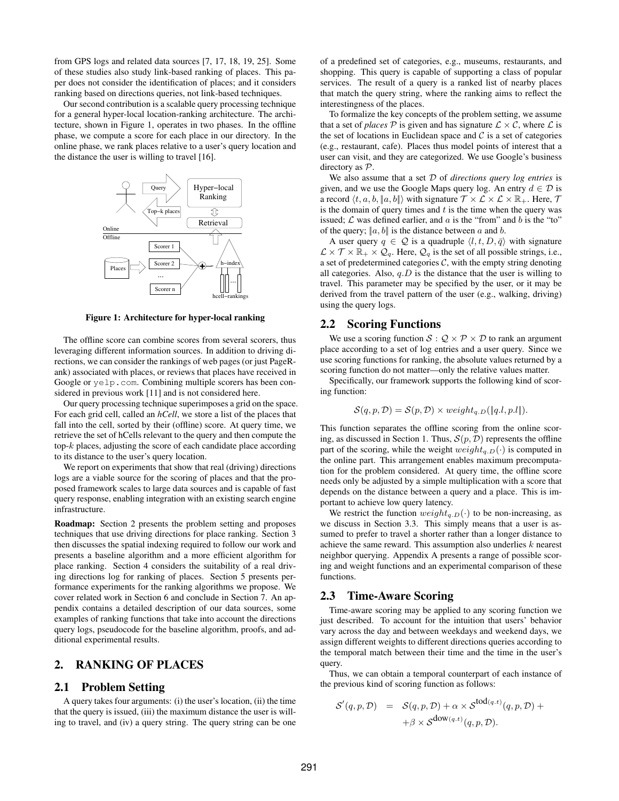from GPS logs and related data sources [\[7,](#page-7-2) [17,](#page-7-3) [18,](#page-7-4) [19,](#page-7-5) [25\]](#page-7-6). Some of these studies also study link-based ranking of places. This paper does not consider the identification of places; and it considers ranking based on directions queries, not link-based techniques.

Our second contribution is a scalable query processing technique for a general hyper-local location-ranking architecture. The architecture, shown in Figure [1,](#page-1-0) operates in two phases. In the offline phase, we compute a score for each place in our directory. In the online phase, we rank places relative to a user's query location and the distance the user is willing to travel [\[16\]](#page-7-7).



<span id="page-1-0"></span>Figure 1: Architecture for hyper-local ranking

The offline score can combine scores from several scorers, thus leveraging different information sources. In addition to driving directions, we can consider the rankings of web pages (or just PageRank) associated with places, or reviews that places have received in Google or <yelp.com>. Combining multiple scorers has been considered in previous work [\[11\]](#page-7-8) and is not considered here.

Our query processing technique superimposes a grid on the space. For each grid cell, called an *hCell*, we store a list of the places that fall into the cell, sorted by their (offline) score. At query time, we retrieve the set of hCells relevant to the query and then compute the top- $k$  places, adjusting the score of each candidate place according to its distance to the user's query location.

We report on experiments that show that real (driving) directions logs are a viable source for the scoring of places and that the proposed framework scales to large data sources and is capable of fast query response, enabling integration with an existing search engine infrastructure.

Roadmap: Section [2](#page-1-1) presents the problem setting and proposes techniques that use driving directions for place ranking. Section [3](#page-2-0) then discusses the spatial indexing required to follow our work and presents a baseline algorithm and a more efficient algorithm for place ranking. Section [4](#page-4-0) considers the suitability of a real driving directions log for ranking of places. Section [5](#page-5-0) presents performance experiments for the ranking algorithms we propose. We cover related work in Section [6](#page-6-0) and conclude in Section [7.](#page-7-9) An appendix contains a detailed description of our data sources, some examples of ranking functions that take into account the directions query logs, pseudocode for the baseline algorithm, proofs, and additional experimental results.

### <span id="page-1-1"></span>2. RANKING OF PLACES

#### 2.1 Problem Setting

A query takes four arguments: (i) the user's location, (ii) the time that the query is issued, (iii) the maximum distance the user is willing to travel, and (iv) a query string. The query string can be one

of a predefined set of categories, e.g., museums, restaurants, and shopping. This query is capable of supporting a class of popular services. The result of a query is a ranked list of nearby places that match the query string, where the ranking aims to reflect the interestingness of the places.

To formalize the key concepts of the problem setting, we assume that a set of *places*  $P$  is given and has signature  $\mathcal{L} \times \mathcal{C}$ , where  $\mathcal{L}$  is the set of locations in Euclidean space and  $\mathcal C$  is a set of categories (e.g., restaurant, cafe). Places thus model points of interest that a user can visit, and they are categorized. We use Google's business directory as P.

We also assume that a set D of *directions query log entries* is given, and we use the Google Maps query log. An entry  $d \in \mathcal{D}$  is a record  $\langle t, a, b, \parallel a, b \parallel \rangle$  with signature  $\mathcal{T} \times \mathcal{L} \times \mathcal{L} \times \mathbb{R}_+$ . Here,  $\mathcal{T}$ is the domain of query times and  $t$  is the time when the query was issued;  $\mathcal L$  was defined earlier, and  $a$  is the "from" and  $b$  is the "to" of the query;  $||a, b||$  is the distance between a and b.

A user query  $q \in \mathcal{Q}$  is a quadruple  $\langle l, t, D, \bar{q} \rangle$  with signature  $\mathcal{L} \times \mathcal{T} \times \mathbb{R}_+ \times \mathcal{Q}_q$ . Here,  $\mathcal{Q}_q$  is the set of all possible strings, i.e., a set of predetermined categories  $C$ , with the empty string denoting all categories. Also,  $q.D$  is the distance that the user is willing to travel. This parameter may be specified by the user, or it may be derived from the travel pattern of the user (e.g., walking, driving) using the query logs.

#### 2.2 Scoring Functions

We use a scoring function  $S: Q \times P \times D$  to rank an argument place according to a set of log entries and a user query. Since we use scoring functions for ranking, the absolute values returned by a scoring function do not matter—only the relative values matter.

Specifically, our framework supports the following kind of scoring function:

$$
\mathcal{S}(q, p, \mathcal{D}) = \mathcal{S}(p, \mathcal{D}) \times weight_{q.D}(\Vert q.l, p.l \Vert).
$$

This function separates the offline scoring from the online scor-ing, as discussed in Section [1.](#page-0-0) Thus,  $S(p, D)$  represents the offline part of the scoring, while the weight  $weight_{q,D}(\cdot)$  is computed in the online part. This arrangement enables maximum precomputation for the problem considered. At query time, the offline score needs only be adjusted by a simple multiplication with a score that depends on the distance between a query and a place. This is important to achieve low query latency.

We restrict the function  $weight_{q.D}(\cdot)$  to be non-increasing, as we discuss in Section [3.3.](#page-2-1) This simply means that a user is assumed to prefer to travel a shorter rather than a longer distance to achieve the same reward. This assumption also underlies  $k$  nearest neighbor querying. Appendix [A](#page-8-0) presents a range of possible scoring and weight functions and an experimental comparison of these functions.

### 2.3 Time-Aware Scoring

Time-aware scoring may be applied to any scoring function we just described. To account for the intuition that users' behavior vary across the day and between weekdays and weekend days, we assign different weights to different directions queries according to the temporal match between their time and the time in the user's query.

Thus, we can obtain a temporal counterpart of each instance of the previous kind of scoring function as follows:

$$
S'(q, p, \mathcal{D}) = S(q, p, \mathcal{D}) + \alpha \times S^{\text{tod}(q, t)}(q, p, \mathcal{D}) +
$$
  
+  $\beta \times S^{\text{down}(q, t)}(q, p, \mathcal{D}).$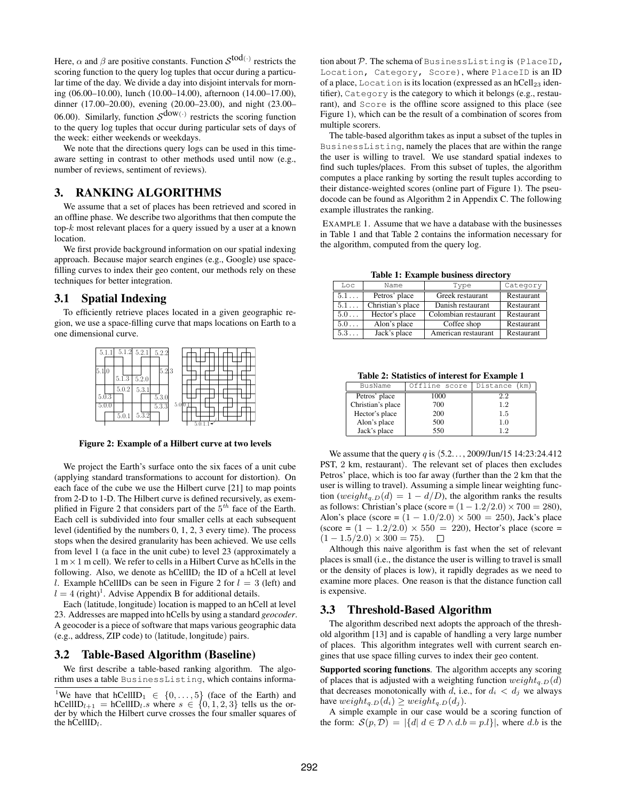Here,  $\alpha$  and  $\beta$  are positive constants. Function  $\mathcal{S}^{\text{tod}(\cdot)}$  restricts the scoring function to the query log tuples that occur during a particular time of the day. We divide a day into disjoint intervals for morning (06.00–10.00), lunch (10.00–14.00), afternoon (14.00–17.00), dinner (17.00–20.00), evening (20.00–23.00), and night (23.00– 06.00). Similarly, function  $\mathcal{S}^{\text{down}(\cdot)}$  restricts the scoring function to the query log tuples that occur during particular sets of days of the week: either weekends or weekdays.

We note that the directions query logs can be used in this timeaware setting in contrast to other methods used until now (e.g., number of reviews, sentiment of reviews).

### <span id="page-2-0"></span>3. RANKING ALGORITHMS

We assume that a set of places has been retrieved and scored in an offline phase. We describe two algorithms that then compute the top- $k$  most relevant places for a query issued by a user at a known location.

We first provide background information on our spatial indexing approach. Because major search engines (e.g., Google) use spacefilling curves to index their geo content, our methods rely on these techniques for better integration.

### <span id="page-2-6"></span>3.1 Spatial Indexing

To efficiently retrieve places located in a given geographic region, we use a space-filling curve that maps locations on Earth to a one dimensional curve.



<span id="page-2-2"></span>Figure 2: Example of a Hilbert curve at two levels

We project the Earth's surface onto the six faces of a unit cube (applying standard transformations to account for distortion). On each face of the cube we use the Hilbert curve [\[21\]](#page-7-10) to map points from 2-D to 1-D. The Hilbert curve is defined recursively, as exem-plified in Figure [2](#page-2-2) that considers part of the  $5<sup>th</sup>$  face of the Earth. Each cell is subdivided into four smaller cells at each subsequent level (identified by the numbers 0, 1, 2, 3 every time). The process stops when the desired granularity has been achieved. We use cells from level 1 (a face in the unit cube) to level 23 (approximately a  $1 m \times 1 m$  cell). We refer to cells in a Hilbert Curve as hCells in the following. Also, we denote as  $hCellID_l$  the ID of a hCell at level l. Example hCellIDs can be seen in Figure [2](#page-2-2) for  $l = 3$  (left) and  $l = 4$  (right)<sup>[1](#page-2-3)</sup>. Advise Appendix [B](#page-9-0) for additional details.

Each (latitude, longitude) location is mapped to an hCell at level 23. Addresses are mapped into hCells by using a standard *geocoder*. A geocoder is a piece of software that maps various geographic data (e.g., address, ZIP code) to (latitude, longitude) pairs.

### <span id="page-2-7"></span>3.2 Table-Based Algorithm (Baseline)

We first describe a table-based ranking algorithm. The algorithm uses a table BusinessListing, which contains information about P. The schema of BusinessListing is (PlaceID, Location, Category, Score), where PlaceID is an ID of a place, Location is its location (expressed as an hCell<sub>23</sub> identifier), Category is the category to which it belongs (e.g., restaurant), and Score is the offline score assigned to this place (see Figure [1\)](#page-1-0), which can be the result of a combination of scores from multiple scorers.

The table-based algorithm takes as input a subset of the tuples in BusinessListing, namely the places that are within the range the user is willing to travel. We use standard spatial indexes to find such tuples/places. From this subset of tuples, the algorithm computes a place ranking by sorting the result tuples according to their distance-weighted scores (online part of Figure [1\)](#page-1-0). The pseudocode can be found as Algorithm [2](#page-9-1) in Appendix [C.](#page-9-2) The following example illustrates the ranking.

EXAMPLE 1. Assume that we have a database with the businesses in Table [1](#page-2-4) and that Table [2](#page-2-5) contains the information necessary for the algorithm, computed from the query log.

<span id="page-2-4"></span>Table 1: Example business directory

| Loc        | Name              | Type                 | Category   |  |
|------------|-------------------|----------------------|------------|--|
| $5.1\dots$ | Petros' place     | Greek restaurant     | Restaurant |  |
| $5.1\dots$ | Christian's place | Danish restaurant    | Restaurant |  |
| $5.0\dots$ | Hector's place    | Colombian restaurant | Restaurant |  |
| $5.0\dots$ | Alon's place      | Coffee shop          | Restaurant |  |
| $5.3\dots$ | Jack's place      | American restaurant  | Restaurant |  |

<span id="page-2-5"></span>Table 2: Statistics of interest for Example [1](#page-2-5)

| BusName           | Offline score | Distance<br>km |  |
|-------------------|---------------|----------------|--|
| Petros' place     | 1000          | 2.2            |  |
| Christian's place | 700           | 1.2.           |  |
| Hector's place    | 200           | $1.5\,$        |  |
| Alon's place      | 500           | 1.0            |  |
| Jack's place      | 550           | 12             |  |

We assume that the query q is  $(5.2...$ , 2009/Jun/15 14:23:24.412 PST,  $2 \text{ km}$ , restaurant). The relevant set of places then excludes Petros' place, which is too far away (further than the 2 km that the user is willing to travel). Assuming a simple linear weighting function (weight<sub>a,D</sub>(d) = 1 – d/D), the algorithm ranks the results as follows: Christian's place (score =  $(1 - 1.2/2.0) \times 700 = 280$ ), Alon's place (score =  $(1 - 1.0/2.0) \times 500 = 250$ ), Jack's place (score =  $(1 - 1.2/2.0) \times 550 = 220$ ), Hector's place (score =  $(1 - 1.5/2.0) \times 300 = 75$ .  $\Box$ 

Although this naive algorithm is fast when the set of relevant places is small (i.e., the distance the user is willing to travel is small or the density of places is low), it rapidly degrades as we need to examine more places. One reason is that the distance function call is expensive.

### <span id="page-2-1"></span>3.3 Threshold-Based Algorithm

The algorithm described next adopts the approach of the threshold algorithm [\[13\]](#page-7-11) and is capable of handling a very large number of places. This algorithm integrates well with current search engines that use space filling curves to index their geo content.

Supported scoring functions. The algorithm accepts any scoring of places that is adjusted with a weighting function  $weight_{a,D}(d)$ that decreases monotonically with d, i.e., for  $d_i < d_j$  we always have  $weight_{q.D}(d_i) \geq weight_{q.D}(d_j)$ .

A simple example in our case would be a scoring function of the form:  $S(p, D) = |\{d | d \in D \land d.b = p.l \}|$ , where d.b is the

<span id="page-2-3"></span><sup>&</sup>lt;sup>1</sup>We have that hCellID<sub>1</sub>  $\in$  {0, ..., 5} (face of the Earth) and hCellID<sub>l+1</sub> = hCellID<sub>l</sub>.s where  $s \in \{0, 1, 2, 3\}$  tells us the order by which the Hilbert curve crosses the four smaller squares of the hCellID $_l$ .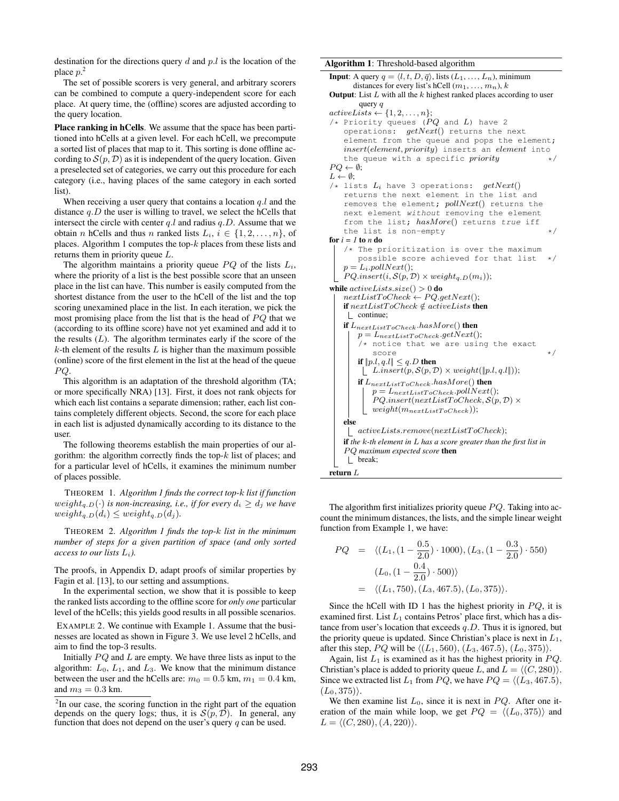destination for the directions query  $d$  and  $p.l$  is the location of the place  $p^2$  $p^2$ .

The set of possible scorers is very general, and arbitrary scorers can be combined to compute a query-independent score for each place. At query time, the (offline) scores are adjusted according to the query location.

Place ranking in hCells. We assume that the space has been partitioned into hCells at a given level. For each hCell, we precompute a sorted list of places that map to it. This sorting is done offline according to  $S(p, D)$  as it is independent of the query location. Given a preselected set of categories, we carry out this procedure for each category (i.e., having places of the same category in each sorted list).

When receiving a user query that contains a location  $q<sub>i</sub>$  and the distance  $q.D$  the user is willing to travel, we select the hCells that intersect the circle with center  $q, l$  and radius  $q, D$ . Assume that we obtain *n* hCells and thus *n* ranked lists  $L_i$ ,  $i \in \{1, 2, ..., n\}$ , of places. Algorithm [1](#page-3-1) computes the top- $k$  places from these lists and returns them in priority queue L.

<span id="page-3-1"></span>The algorithm maintains a priority queue  $PQ$  of the lists  $L_i$ , where the priority of a list is the best possible score that an unseen place in the list can have. This number is easily computed from the shortest distance from the user to the hCell of the list and the top scoring unexamined place in the list. In each iteration, we pick the most promising place from the list that is the head of  $PQ$  that we (according to its offline score) have not yet examined and add it to the results  $(L)$ . The algorithm terminates early if the score of the  $k$ -th element of the results  $L$  is higher than the maximum possible (online) score of the first element in the list at the head of the queue  $PQ.$ 

This algorithm is an adaptation of the threshold algorithm (TA; or more specifically NRA) [\[13\]](#page-7-11). First, it does not rank objects for which each list contains a separate dimension; rather, each list contains completely different objects. Second, the score for each place in each list is adjusted dynamically according to its distance to the user.

The following theorems establish the main properties of our algorithm: the algorithm correctly finds the top- $k$  list of places; and for a particular level of hCells, it examines the minimum number of places possible.

<span id="page-3-2"></span>THEOREM 1. *Algorithm [1](#page-3-1) finds the correct top-*k *list if function* weight<sub>a,D</sub>(·) *is non-increasing, i.e., if for every*  $d_i \geq d_j$  *we have*  $weight_{q.D}(d_i) \leq weight_{q.D}(d_j).$ 

<span id="page-3-3"></span>THEOREM 2. *Algorithm [1](#page-3-1) finds the top-*k *list in the minimum number of steps for a given partition of space (and only sorted access to our lists* Li*).*

The proofs, in Appendix [D,](#page-9-3) adapt proofs of similar properties by Fagin et al. [\[13\]](#page-7-11), to our setting and assumptions.

In the experimental section, we show that it is possible to keep the ranked lists according to the offline score for *only one* particular level of the hCells; this yields good results in all possible scenarios.

EXAMPLE 2. We continue with Example [1.](#page-2-5) Assume that the businesses are located as shown in Figure [3.](#page-4-1) We use level 2 hCells, and aim to find the top-3 results.

Initially  $PQ$  and  $L$  are empty. We have three lists as input to the algorithm:  $L_0$ ,  $L_1$ , and  $L_3$ . We know that the minimum distance between the user and the hCells are:  $m_0 = 0.5$  km,  $m_1 = 0.4$  km, and  $m_3 = 0.3$  km.

#### Algorithm 1: Threshold-based algorithm

```
Input: A query q = \langle l, t, D, \overline{q} \rangle, lists (L_1, \ldots, L_n), minimum
       distances for every list's hCell (m_1,\ldots,m_n), kOutput: List L with all the k highest ranked places according to user
        query q
activeLists \leftarrow \{1, 2, \ldots, n\};/* Priority queues (PQ \text{ and } L) have 2
    operations: getNext() returns the next
    element from the queue and pops the element;
    insert(element, priority) inserts an element into
    the queue with a specific priorityPQ \leftarrow \emptyset;L \leftarrow \emptyset;/* lists L_i have 3 operations: getNext()returns the next element in the list and
    removes the element; pollNext() returns the
    next element without removing the element
    from the list; hasMore() returns true iff
    the list is non-empty
for i = 1 to n do
    /* The prioritization is over the maximum
        possible score achieved for that list
    p = L_i.pollNext();
    PQ.insert(i, \mathcal{S}(p, \mathcal{D}) \times weight_{q.D}(m_i));while activeLists.size() > 0 do
    nextListToCheck \xleftarrow{} PQ.getNext();if nextListToCheck \notin activeLists then
     continue;
    if L_{nextListToCheck}.hasMore() then
        p = L_{nextListToCheck}.getNext();/* notice that we are using the exact<br>score
            score \star/if ||p.l, q.l|| \leq q.D then
         | L.insert(p, \mathcal{S}(p, \mathcal{D}) \times weight(\Vert p.l, q.l \Vert));if L_{nextListToCheck}.hasMore() then
            p = L_{nextListToCheck}.pollNext();PQ.insert(nextListToCheck, \mathcal{S}(p, \mathcal{D}) \timesweight(m_{nextListToCheck}));else
     \qquad \qquad \text{activeLists.} remove(nextListToCheck);if the k-th element in L has a score greater than the first list in
    PQ maximum expected score then
     break;
return L
```
The algorithm first initializes priority queue  $PQ$ . Taking into account the minimum distances, the lists, and the simple linear weight function from Example [1,](#page-2-5) we have:

$$
PQ = \langle (L_1, (1 - \frac{0.5}{2.0}) \cdot 1000), (L_3, (1 - \frac{0.3}{2.0}) \cdot 550)
$$

$$
(L_0, (1 - \frac{0.4}{2.0}) \cdot 500) \rangle
$$

$$
= \langle (L_1, 750), (L_3, 467.5), (L_0, 375) \rangle.
$$

Since the hCell with ID 1 has the highest priority in  $PQ$ , it is examined first. List  $L_1$  contains Petros' place first, which has a distance from user's location that exceeds  $q.D$ . Thus it is ignored, but the priority queue is updated. Since Christian's place is next in  $L_1$ , after this step, PQ will be  $\langle (L_1, 560), (L_3, 467.5), (L_0, 375) \rangle$ .

Again, list  $L_1$  is examined as it has the highest priority in  $PQ$ . Christian's place is added to priority queue L, and  $L = \langle (C, 280) \rangle$ . Since we extracted list  $L_1$  from  $PQ$ , we have  $PQ = \langle (L_3, 467.5),$  $(L_0, 375)$ .

We then examine list  $L_0$ , since it is next in  $PQ$ . After one iteration of the main while loop, we get  $PQ = \langle (L_0, 375) \rangle$  and  $L = \langle (C, 280), (A, 220) \rangle.$ 

<span id="page-3-0"></span> $2$ In our case, the scoring function in the right part of the equation depends on the query logs; thus, it is  $S(p, D)$ . In general, any function that does not depend on the user's query  $q$  can be used.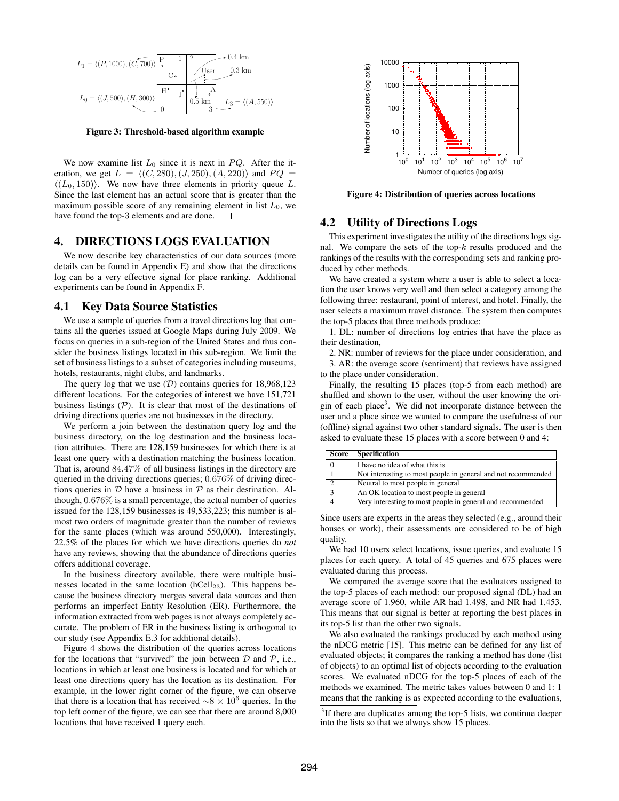

<span id="page-4-1"></span>Figure 3: Threshold-based algorithm example

We now examine list  $L_0$  since it is next in  $PQ$ . After the iteration, we get  $L = \langle (C, 280), (J, 250), (A, 220) \rangle$  and  $PQ =$  $\langle (L_0, 150) \rangle$ . We now have three elements in priority queue L. Since the last element has an actual score that is greater than the maximum possible score of any remaining element in list  $L_0$ , we have found the top-3 elements and are done.  $\Box$ 

### <span id="page-4-0"></span>4. DIRECTIONS LOGS EVALUATION

We now describe key characteristics of our data sources (more details can be found in Appendix [E\)](#page-9-4) and show that the directions log can be a very effective signal for place ranking. Additional experiments can be found in Appendix [F.](#page-10-0)

### <span id="page-4-4"></span>4.1 Key Data Source Statistics

We use a sample of queries from a travel directions log that contains all the queries issued at Google Maps during July 2009. We focus on queries in a sub-region of the United States and thus consider the business listings located in this sub-region. We limit the set of business listings to a subset of categories including museums, hotels, restaurants, night clubs, and landmarks.

The query log that we use  $(D)$  contains queries for 18,968,123 different locations. For the categories of interest we have 151,721 business listings  $(P)$ . It is clear that most of the destinations of driving directions queries are not businesses in the directory.

We perform a join between the destination query log and the business directory, on the log destination and the business location attributes. There are 128,159 businesses for which there is at least one query with a destination matching the business location. That is, around 84.47% of all business listings in the directory are queried in the driving directions queries; 0.676% of driving directions queries in  $D$  have a business in  $P$  as their destination. Although, 0.676% is a small percentage, the actual number of queries issued for the 128,159 businesses is 49,533,223; this number is almost two orders of magnitude greater than the number of reviews for the same places (which was around 550,000). Interestingly, 22.5% of the places for which we have directions queries do *not* have any reviews, showing that the abundance of directions queries offers additional coverage.

In the business directory available, there were multiple businesses located in the same location ( $hCell<sub>23</sub>$ ). This happens because the business directory merges several data sources and then performs an imperfect Entity Resolution (ER). Furthermore, the information extracted from web pages is not always completely accurate. The problem of ER in the business listing is orthogonal to our study (see Appendix [E.3](#page-10-1) for additional details).

Figure [4](#page-4-2) shows the distribution of the queries across locations for the locations that "survived" the join between  $D$  and  $P$ , i.e., locations in which at least one business is located and for which at least one directions query has the location as its destination. For example, in the lower right corner of the figure, we can observe that there is a location that has received  $\sim 8 \times 10^6$  queries. In the top left corner of the figure, we can see that there are around 8,000 locations that have received 1 query each.



<span id="page-4-2"></span>Figure 4: Distribution of queries across locations

### 4.2 Utility of Directions Logs

This experiment investigates the utility of the directions logs signal. We compare the sets of the top- $k$  results produced and the rankings of the results with the corresponding sets and ranking produced by other methods.

We have created a system where a user is able to select a location the user knows very well and then select a category among the following three: restaurant, point of interest, and hotel. Finally, the user selects a maximum travel distance. The system then computes the top-5 places that three methods produce:

1. DL: number of directions log entries that have the place as their destination,

2. NR: number of reviews for the place under consideration, and 3. AR: the average score (sentiment) that reviews have assigned to the place under consideration.

Finally, the resulting 15 places (top-5 from each method) are shuffled and shown to the user, without the user knowing the ori-gin of each place<sup>[3](#page-4-3)</sup>. We did not incorporate distance between the user and a place since we wanted to compare the usefulness of our (offline) signal against two other standard signals. The user is then asked to evaluate these 15 places with a score between 0 and 4:

| Score         | <b>Specification</b>                                          |
|---------------|---------------------------------------------------------------|
| $\Omega$      | I have no idea of what this is                                |
|               | Not interesting to most people in general and not recommended |
| $\mathcal{L}$ | Neutral to most people in general                             |
| $\mathbf{a}$  | An OK location to most people in general                      |
|               | Very interesting to most people in general and recommended    |

Since users are experts in the areas they selected (e.g., around their houses or work), their assessments are considered to be of high quality.

We had 10 users select locations, issue queries, and evaluate 15 places for each query. A total of 45 queries and 675 places were evaluated during this process.

We compared the average score that the evaluators assigned to the top-5 places of each method: our proposed signal (DL) had an average score of 1.960, while AR had 1.498, and NR had 1.453. This means that our signal is better at reporting the best places in its top-5 list than the other two signals.

We also evaluated the rankings produced by each method using the nDCG metric [\[15\]](#page-7-12). This metric can be defined for any list of evaluated objects; it compares the ranking a method has done (list of objects) to an optimal list of objects according to the evaluation scores. We evaluated nDCG for the top-5 places of each of the methods we examined. The metric takes values between 0 and 1: 1 means that the ranking is as expected according to the evaluations,

<span id="page-4-3"></span><sup>&</sup>lt;sup>3</sup>If there are duplicates among the top-5 lists, we continue deeper into the lists so that we always show 15 places.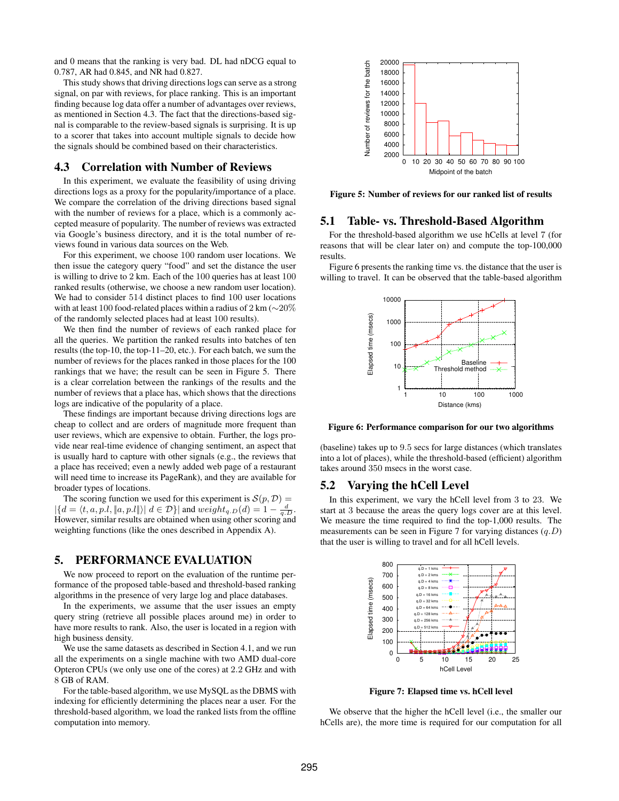and 0 means that the ranking is very bad. DL had nDCG equal to 0.787, AR had 0.845, and NR had 0.827.

This study shows that driving directions logs can serve as a strong signal, on par with reviews, for place ranking. This is an important finding because log data offer a number of advantages over reviews, as mentioned in Section [4.3.](#page-5-1) The fact that the directions-based signal is comparable to the review-based signals is surprising. It is up to a scorer that takes into account multiple signals to decide how the signals should be combined based on their characteristics.

### <span id="page-5-1"></span>4.3 Correlation with Number of Reviews

In this experiment, we evaluate the feasibility of using driving directions logs as a proxy for the popularity/importance of a place. We compare the correlation of the driving directions based signal with the number of reviews for a place, which is a commonly accepted measure of popularity. The number of reviews was extracted via Google's business directory, and it is the total number of reviews found in various data sources on the Web.

For this experiment, we choose 100 random user locations. We then issue the category query "food" and set the distance the user is willing to drive to 2 km. Each of the 100 queries has at least 100 ranked results (otherwise, we choose a new random user location). We had to consider 514 distinct places to find 100 user locations with at least 100 food-related places within a radius of  $2$  km ( $\sim\!\!20\%$ of the randomly selected places had at least 100 results).

We then find the number of reviews of each ranked place for all the queries. We partition the ranked results into batches of ten results (the top-10, the top-11–20, etc.). For each batch, we sum the number of reviews for the places ranked in those places for the 100 rankings that we have; the result can be seen in Figure [5.](#page-5-2) There is a clear correlation between the rankings of the results and the number of reviews that a place has, which shows that the directions logs are indicative of the popularity of a place.

These findings are important because driving directions logs are cheap to collect and are orders of magnitude more frequent than user reviews, which are expensive to obtain. Further, the logs provide near real-time evidence of changing sentiment, an aspect that is usually hard to capture with other signals (e.g., the reviews that a place has received; even a newly added web page of a restaurant will need time to increase its PageRank), and they are available for broader types of locations.

The scoring function we used for this experiment is  $S(p, D)$  =  $|\{d = \langle t, a, p.l, ||a, p.l|| \rangle \mid d \in \mathcal{D}\}|$  and  $weight_{q.D}(d) = 1 - \frac{d}{q.D}$ . However, similar results are obtained when using other scoring and weighting functions (like the ones described in Appendix [A\)](#page-8-0).

### <span id="page-5-0"></span>5. PERFORMANCE EVALUATION

We now proceed to report on the evaluation of the runtime performance of the proposed table-based and threshold-based ranking algorithms in the presence of very large log and place databases.

In the experiments, we assume that the user issues an empty query string (retrieve all possible places around me) in order to have more results to rank. Also, the user is located in a region with high business density.

We use the same datasets as described in Section [4.1,](#page-4-4) and we run all the experiments on a single machine with two AMD dual-core Opteron CPUs (we only use one of the cores) at 2.2 GHz and with 8 GB of RAM.

For the table-based algorithm, we use MySQL as the DBMS with indexing for efficiently determining the places near a user. For the threshold-based algorithm, we load the ranked lists from the offline computation into memory.



<span id="page-5-2"></span>Figure 5: Number of reviews for our ranked list of results

### 5.1 Table- vs. Threshold-Based Algorithm

For the threshold-based algorithm we use hCells at level 7 (for reasons that will be clear later on) and compute the top-100,000 results.

Figure [6](#page-5-3) presents the ranking time vs. the distance that the user is willing to travel. It can be observed that the table-based algorithm



<span id="page-5-3"></span>Figure 6: Performance comparison for our two algorithms

(baseline) takes up to 9.5 secs for large distances (which translates into a lot of places), while the threshold-based (efficient) algorithm takes around 350 msecs in the worst case.

#### 5.2 Varying the hCell Level

In this experiment, we vary the hCell level from 3 to 23. We start at 3 because the areas the query logs cover are at this level. We measure the time required to find the top-1,000 results. The measurements can be seen in Figure [7](#page-5-4) for varying distances  $(q.D)$ that the user is willing to travel and for all hCell levels.



<span id="page-5-4"></span>Figure 7: Elapsed time vs. hCell level

We observe that the higher the hCell level (i.e., the smaller our hCells are), the more time is required for our computation for all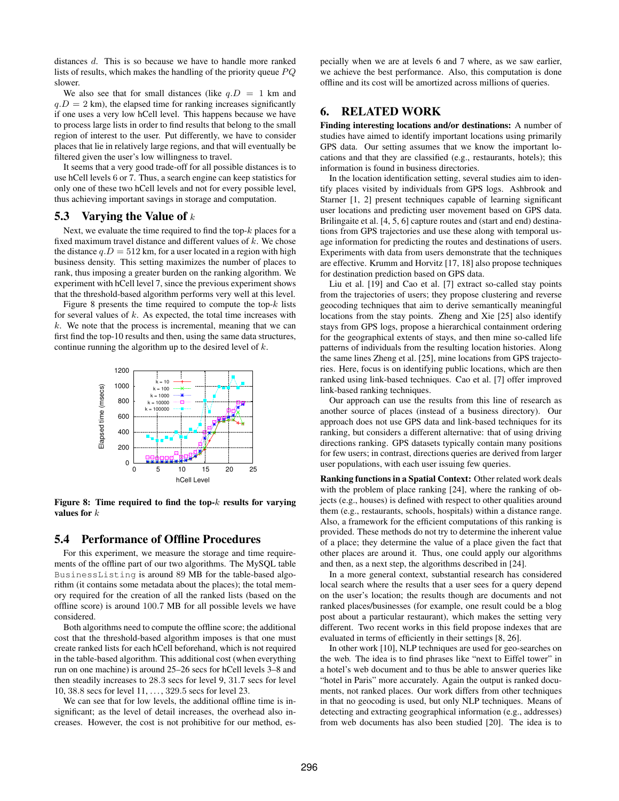distances d. This is so because we have to handle more ranked lists of results, which makes the handling of the priority queue  $PQ$ slower.

We also see that for small distances (like  $q.D = 1$  km and  $q.D = 2$  km), the elapsed time for ranking increases significantly if one uses a very low hCell level. This happens because we have to process large lists in order to find results that belong to the small region of interest to the user. Put differently, we have to consider places that lie in relatively large regions, and that will eventually be filtered given the user's low willingness to travel.

It seems that a very good trade-off for all possible distances is to use hCell levels 6 or 7. Thus, a search engine can keep statistics for only one of these two hCell levels and not for every possible level, thus achieving important savings in storage and computation.

### 5.3 Varying the Value of  $k$

Next, we evaluate the time required to find the top- $k$  places for a fixed maximum travel distance and different values of  $\vec{k}$ . We chose the distance  $q.D = 512$  km, for a user located in a region with high business density. This setting maximizes the number of places to rank, thus imposing a greater burden on the ranking algorithm. We experiment with hCell level 7, since the previous experiment shows that the threshold-based algorithm performs very well at this level.

Figure [8](#page-6-1) presents the time required to compute the top- $k$  lists for several values of  $k$ . As expected, the total time increases with  $k$ . We note that the process is incremental, meaning that we can first find the top-10 results and then, using the same data structures, continue running the algorithm up to the desired level of k.



<span id="page-6-1"></span>Figure 8: Time required to find the top- $k$  results for varying values for  $k$ 

### 5.4 Performance of Offline Procedures

For this experiment, we measure the storage and time requirements of the offline part of our two algorithms. The MySQL table BusinessListing is around 89 MB for the table-based algorithm (it contains some metadata about the places); the total memory required for the creation of all the ranked lists (based on the offline score) is around 100.7 MB for all possible levels we have considered.

Both algorithms need to compute the offline score; the additional cost that the threshold-based algorithm imposes is that one must create ranked lists for each hCell beforehand, which is not required in the table-based algorithm. This additional cost (when everything run on one machine) is around 25–26 secs for hCell levels 3–8 and then steadily increases to 28.3 secs for level 9, 31.7 secs for level 10, 38.8 secs for level 11, . . . , 329.5 secs for level 23.

We can see that for low levels, the additional offline time is insignificant; as the level of detail increases, the overhead also increases. However, the cost is not prohibitive for our method, especially when we are at levels 6 and 7 where, as we saw earlier, we achieve the best performance. Also, this computation is done offline and its cost will be amortized across millions of queries.

### <span id="page-6-0"></span>6. RELATED WORK

Finding interesting locations and/or destinations: A number of studies have aimed to identify important locations using primarily GPS data. Our setting assumes that we know the important locations and that they are classified (e.g., restaurants, hotels); this information is found in business directories.

In the location identification setting, several studies aim to identify places visited by individuals from GPS logs. Ashbrook and Starner [\[1,](#page-7-13) [2\]](#page-7-14) present techniques capable of learning significant user locations and predicting user movement based on GPS data. Brilingaite et al. [\[4,](#page-7-15) [5,](#page-7-16) [6\]](#page-7-17) capture routes and (start and end) destinations from GPS trajectories and use these along with temporal usage information for predicting the routes and destinations of users. Experiments with data from users demonstrate that the techniques are effective. Krumm and Horvitz [\[17,](#page-7-3) [18\]](#page-7-4) also propose techniques for destination prediction based on GPS data.

Liu et al. [\[19\]](#page-7-5) and Cao et al. [\[7\]](#page-7-2) extract so-called stay points from the trajectories of users; they propose clustering and reverse geocoding techniques that aim to derive semantically meaningful locations from the stay points. Zheng and Xie [\[25\]](#page-7-6) also identify stays from GPS logs, propose a hierarchical containment ordering for the geographical extents of stays, and then mine so-called life patterns of individuals from the resulting location histories. Along the same lines Zheng et al. [\[25\]](#page-7-6), mine locations from GPS trajectories. Here, focus is on identifying public locations, which are then ranked using link-based techniques. Cao et al. [\[7\]](#page-7-2) offer improved link-based ranking techniques.

Our approach can use the results from this line of research as another source of places (instead of a business directory). Our approach does not use GPS data and link-based techniques for its ranking, but considers a different alternative: that of using driving directions ranking. GPS datasets typically contain many positions for few users; in contrast, directions queries are derived from larger user populations, with each user issuing few queries.

Ranking functions in a Spatial Context: Other related work deals with the problem of place ranking [\[24\]](#page-7-18), where the ranking of objects (e.g., houses) is defined with respect to other qualities around them (e.g., restaurants, schools, hospitals) within a distance range. Also, a framework for the efficient computations of this ranking is provided. These methods do not try to determine the inherent value of a place; they determine the value of a place given the fact that other places are around it. Thus, one could apply our algorithms and then, as a next step, the algorithms described in [\[24\]](#page-7-18).

In a more general context, substantial research has considered local search where the results that a user sees for a query depend on the user's location; the results though are documents and not ranked places/businesses (for example, one result could be a blog post about a particular restaurant), which makes the setting very different. Two recent works in this field propose indexes that are evaluated in terms of efficiently in their settings [\[8,](#page-7-19) [26\]](#page-7-20).

In other work [\[10\]](#page-7-21), NLP techniques are used for geo-searches on the web. The idea is to find phrases like "next to Eiffel tower" in a hotel's web document and to thus be able to answer queries like "hotel in Paris" more accurately. Again the output is ranked documents, not ranked places. Our work differs from other techniques in that no geocoding is used, but only NLP techniques. Means of detecting and extracting geographical information (e.g., addresses) from web documents has also been studied [\[20\]](#page-7-22). The idea is to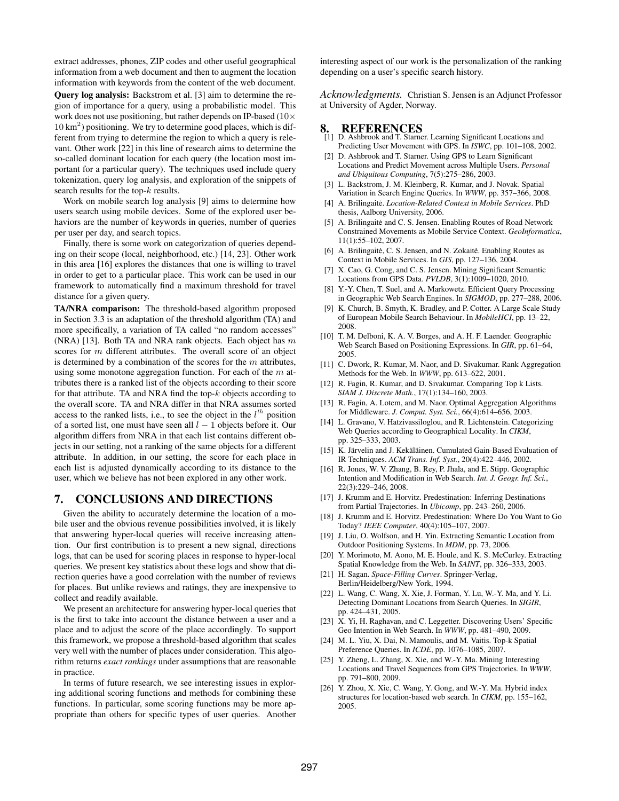extract addresses, phones, ZIP codes and other useful geographical information from a web document and then to augment the location information with keywords from the content of the web document.

Query log analysis: Backstrom et al. [\[3\]](#page-7-0) aim to determine the region of importance for a query, using a probabilistic model. This work does not use positioning, but rather depends on IP-based ( $10\times$ 10 km<sup>2</sup>) positioning. We try to determine good places, which is different from trying to determine the region to which a query is relevant. Other work [\[22\]](#page-7-1) in this line of research aims to determine the so-called dominant location for each query (the location most important for a particular query). The techniques used include query tokenization, query log analysis, and exploration of the snippets of search results for the top-k results.

Work on mobile search log analysis [\[9\]](#page-7-23) aims to determine how users search using mobile devices. Some of the explored user behaviors are the number of keywords in queries, number of queries per user per day, and search topics.

Finally, there is some work on categorization of queries depending on their scope (local, neighborhood, etc.) [\[14,](#page-7-24) [23\]](#page-7-25). Other work in this area [\[16\]](#page-7-7) explores the distances that one is willing to travel in order to get to a particular place. This work can be used in our framework to automatically find a maximum threshold for travel distance for a given query.

TA/NRA comparison: The threshold-based algorithm proposed in Section [3.3](#page-2-1) is an adaptation of the threshold algorithm (TA) and more specifically, a variation of TA called "no random accesses" (NRA) [\[13\]](#page-7-11). Both TA and NRA rank objects. Each object has  $m$ scores for m different attributes. The overall score of an object is determined by a combination of the scores for the  $m$  attributes, using some monotone aggregation function. For each of the  $m$  attributes there is a ranked list of the objects according to their score for that attribute. TA and NRA find the top- $k$  objects according to the overall score. TA and NRA differ in that NRA assumes sorted access to the ranked lists, i.e., to see the object in the  $l^{th}$  position of a sorted list, one must have seen all  $l - 1$  objects before it. Our algorithm differs from NRA in that each list contains different objects in our setting, not a ranking of the same objects for a different attribute. In addition, in our setting, the score for each place in each list is adjusted dynamically according to its distance to the user, which we believe has not been explored in any other work.

### <span id="page-7-9"></span>7. CONCLUSIONS AND DIRECTIONS

Given the ability to accurately determine the location of a mobile user and the obvious revenue possibilities involved, it is likely that answering hyper-local queries will receive increasing attention. Our first contribution is to present a new signal, directions logs, that can be used for scoring places in response to hyper-local queries. We present key statistics about these logs and show that direction queries have a good correlation with the number of reviews for places. But unlike reviews and ratings, they are inexpensive to collect and readily available.

We present an architecture for answering hyper-local queries that is the first to take into account the distance between a user and a place and to adjust the score of the place accordingly. To support this framework, we propose a threshold-based algorithm that scales very well with the number of places under consideration. This algorithm returns *exact rankings* under assumptions that are reasonable in practice.

In terms of future research, we see interesting issues in exploring additional scoring functions and methods for combining these functions. In particular, some scoring functions may be more appropriate than others for specific types of user queries. Another

interesting aspect of our work is the personalization of the ranking depending on a user's specific search history.

*Acknowledgments.* Christian S. Jensen is an Adjunct Professor at University of Agder, Norway.

## **8.** REFERENCES

- <span id="page-7-13"></span>[1] D. Ashbrook and T. Starner. Learning Significant Locations and Predicting User Movement with GPS. In *ISWC*, pp. 101–108, 2002.
- <span id="page-7-14"></span>D. Ashbrook and T. Starner. Using GPS to Learn Significant Locations and Predict Movement across Multiple Users. *Personal and Ubiquitous Computing*, 7(5):275–286, 2003.
- <span id="page-7-0"></span>[3] L. Backstrom, J. M. Kleinberg, R. Kumar, and J. Novak. Spatial Variation in Search Engine Queries. In *WWW*, pp. 357–366, 2008.
- <span id="page-7-15"></span>[4] A. Brilingaite. *Location-Related Context in Mobile Services*. PhD thesis, Aalborg University, 2006.
- <span id="page-7-16"></span>[5] A. Brilingaite and C. S. Jensen. Enabling Routes of Road Network Constrained Movements as Mobile Service Context. *GeoInformatica*, 11(1):55–102, 2007.
- <span id="page-7-17"></span>[6] A. Brilingaitė, C. S. Jensen, and N. Zokaitė. Enabling Routes as Context in Mobile Services. In *GIS*, pp. 127–136, 2004.
- <span id="page-7-2"></span>[7] X. Cao, G. Cong, and C. S. Jensen. Mining Significant Semantic Locations from GPS Data. *PVLDB*, 3(1):1009–1020, 2010.
- <span id="page-7-19"></span>[8] Y.-Y. Chen, T. Suel, and A. Markowetz. Efficient Query Processing in Geographic Web Search Engines. In *SIGMOD*, pp. 277–288, 2006.
- <span id="page-7-23"></span>[9] K. Church, B. Smyth, K. Bradley, and P. Cotter. A Large Scale Study of European Mobile Search Behaviour. In *MobileHCI*, pp. 13–22, 2008.
- <span id="page-7-21"></span>[10] T. M. Delboni, K. A. V. Borges, and A. H. F. Laender. Geographic Web Search Based on Positioning Expressions. In *GIR*, pp. 61–64, 2005.
- <span id="page-7-8"></span>[11] C. Dwork, R. Kumar, M. Naor, and D. Sivakumar. Rank Aggregation Methods for the Web. In *WWW*, pp. 613–622, 2001.
- <span id="page-7-26"></span>[12] R. Fagin, R. Kumar, and D. Sivakumar. Comparing Top k Lists. *SIAM J. Discrete Math.*, 17(1):134–160, 2003.
- <span id="page-7-11"></span>[13] R. Fagin, A. Lotem, and M. Naor. Optimal Aggregation Algorithms for Middleware. *J. Comput. Syst. Sci.*, 66(4):614–656, 2003.
- <span id="page-7-24"></span>[14] L. Gravano, V. Hatzivassiloglou, and R. Lichtenstein. Categorizing Web Queries according to Geographical Locality. In *CIKM*, pp. 325–333, 2003.
- <span id="page-7-12"></span>[15] K. Järvelin and J. Kekäläinen. Cumulated Gain-Based Evaluation of IR Techniques. *ACM Trans. Inf. Syst.*, 20(4):422–446, 2002.
- <span id="page-7-7"></span>[16] R. Jones, W. V. Zhang, B. Rey, P. Jhala, and E. Stipp. Geographic Intention and Modification in Web Search. *Int. J. Geogr. Inf. Sci.*, 22(3):229–246, 2008.
- <span id="page-7-3"></span>[17] J. Krumm and E. Horvitz. Predestination: Inferring Destinations from Partial Trajectories. In *Ubicomp*, pp. 243–260, 2006.
- <span id="page-7-4"></span>[18] J. Krumm and E. Horvitz. Predestination: Where Do You Want to Go Today? *IEEE Computer*, 40(4):105–107, 2007.
- <span id="page-7-5"></span>[19] J. Liu, O. Wolfson, and H. Yin. Extracting Semantic Location from Outdoor Positioning Systems. In *MDM*, pp. 73, 2006.
- <span id="page-7-22"></span>[20] Y. Morimoto, M. Aono, M. E. Houle, and K. S. McCurley. Extracting Spatial Knowledge from the Web. In *SAINT*, pp. 326–333, 2003.
- <span id="page-7-10"></span>[21] H. Sagan. *Space-Filling Curves*. Springer-Verlag, Berlin/Heidelberg/New York, 1994.
- <span id="page-7-1"></span>[22] L. Wang, C. Wang, X. Xie, J. Forman, Y. Lu, W.-Y. Ma, and Y. Li. Detecting Dominant Locations from Search Queries. In *SIGIR*, pp. 424–431, 2005.
- <span id="page-7-25"></span>[23] X. Yi, H. Raghavan, and C. Leggetter. Discovering Users' Specific Geo Intention in Web Search. In *WWW*, pp. 481–490, 2009.
- <span id="page-7-18"></span>[24] M. L. Yiu, X. Dai, N. Mamoulis, and M. Vaitis. Top-k Spatial Preference Queries. In *ICDE*, pp. 1076–1085, 2007.
- <span id="page-7-6"></span>[25] Y. Zheng, L. Zhang, X. Xie, and W.-Y. Ma. Mining Interesting Locations and Travel Sequences from GPS Trajectories. In *WWW*, pp. 791–800, 2009.
- <span id="page-7-20"></span>[26] Y. Zhou, X. Xie, C. Wang, Y. Gong, and W.-Y. Ma. Hybrid index structures for location-based web search. In *CIKM*, pp. 155–162, 2005.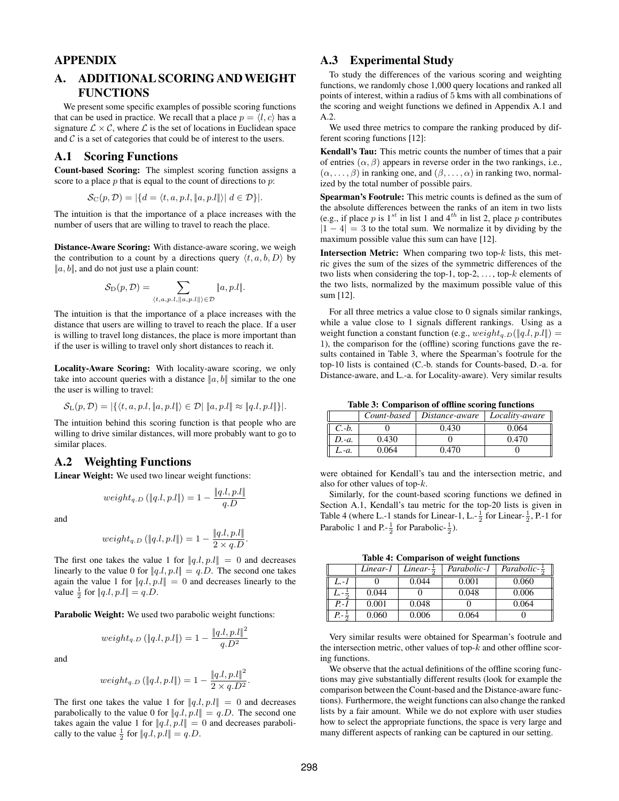### APPENDIX

### <span id="page-8-0"></span>A. ADDITIONAL SCORING ANDWEIGHT FUNCTIONS

We present some specific examples of possible scoring functions that can be used in practice. We recall that a place  $p = \langle l, c \rangle$  has a signature  $\mathcal{L} \times \mathcal{C}$ , where  $\mathcal{L}$  is the set of locations in Euclidean space and  $C$  is a set of categories that could be of interest to the users.

#### <span id="page-8-1"></span>A.1 Scoring Functions

Count-based Scoring: The simplest scoring function assigns a score to a place  $p$  that is equal to the count of directions to  $p$ :

$$
\mathcal{S}_{\mathcal{C}}(p, \mathcal{D}) = |\{d = \langle t, a, p.l, \|a, p.l\|\rangle \, | \, d \in \mathcal{D}\}|.
$$

The intuition is that the importance of a place increases with the number of users that are willing to travel to reach the place.

Distance-Aware Scoring: With distance-aware scoring, we weigh the contribution to a count by a directions query  $\langle t, a, b, D \rangle$  by  $\|a, b\|$ , and do not just use a plain count:

$$
\mathcal{S}_{\rm D}(p,\mathcal{D})=\sum_{\langle t,a,p.l, \parallel a,p.l \parallel \rangle \in \mathcal{D}} \Vert a,p.l \Vert.
$$

The intuition is that the importance of a place increases with the distance that users are willing to travel to reach the place. If a user is willing to travel long distances, the place is more important than if the user is willing to travel only short distances to reach it.

Locality-Aware Scoring: With locality-aware scoring, we only take into account queries with a distance  $||a, b||$  similar to the one the user is willing to travel:

$$
\mathcal{S}_{\mathcal{L}}(p,\mathcal{D}) = |\{\langle t,a,p.l, \|a,p.l\|\rangle \in \mathcal{D} | \|a,p.l\| \approx \|q.l,p.l\|\} |.
$$

The intuition behind this scoring function is that people who are willing to drive similar distances, will more probably want to go to similar places.

### <span id="page-8-2"></span>A.2 Weighting Functions

Linear Weight: We used two linear weight functions:

$$
weight_{q.D.} (\|q.l, p.l\|) = 1 - \frac{\|q.l, p.l\|}{q.D}
$$

and

$$
weight_{q.D.} (\Vert q.l, p.l \Vert) = 1 - \frac{\Vert q.l, p.l \Vert}{2 \times q.D}.
$$

The first one takes the value 1 for  $||q_l, p_l|| = 0$  and decreases linearly to the value 0 for  $||q.l, p.l|| = q.D$ . The second one takes again the value 1 for  $||q_l, p_l|| = 0$  and decreases linearly to the value  $\frac{1}{2}$  for  $||q.l, p.l|| = q.D.$ 

Parabolic Weight: We used two parabolic weight functions:

$$
weight_{q.D.} (\|q.l, p.l\|) = 1 - \frac{\|q.l, p.l\|^2}{q.D^2}
$$

and

$$
weight_{q.D} (\|q.l, p.l\|) = 1 - \frac{\|q.l, p.l\|^2}{2 \times q.D^2}.
$$

The first one takes the value 1 for  $||q_l, p_l|| = 0$  and decreases parabolically to the value 0 for  $||q.l, p.l|| = q.D$ . The second one takes again the value 1 for  $||q.l, p.l|| = 0$  and decreases parabolically to the value  $\frac{1}{2}$  for  $||q.l, p.l|| = q.D$ .

### <span id="page-8-5"></span>A.3 Experimental Study

To study the differences of the various scoring and weighting functions, we randomly chose 1,000 query locations and ranked all points of interest, within a radius of 5 kms with all combinations of the scoring and weight functions we defined in Appendix [A.1](#page-8-1) and [A.2.](#page-8-2)

We used three metrics to compare the ranking produced by different scoring functions [\[12\]](#page-7-26):

Kendall's Tau: This metric counts the number of times that a pair of entries  $(\alpha, \beta)$  appears in reverse order in the two rankings, i.e.,  $(\alpha, \ldots, \beta)$  in ranking one, and  $(\beta, \ldots, \alpha)$  in ranking two, normalized by the total number of possible pairs.

Spearman's Footrule: This metric counts is defined as the sum of the absolute differences between the ranks of an item in two lists (e.g., if place p is  $1^{st}$  in list 1 and  $4^{th}$  in list 2, place p contributes  $|1 - 4| = 3$  to the total sum. We normalize it by dividing by the maximum possible value this sum can have [\[12\]](#page-7-26).

**Intersection Metric:** When comparing two top- $k$  lists, this metric gives the sum of the sizes of the symmetric differences of the two lists when considering the top-1, top-2, ..., top- $k$  elements of the two lists, normalized by the maximum possible value of this sum [\[12\]](#page-7-26).

For all three metrics a value close to 0 signals similar rankings, while a value close to 1 signals different rankings. Using as a weight function a constant function (e.g.,  $weight_{q.D}(\|q.l, p.l\|) =$ 1), the comparison for the (offline) scoring functions gave the results contained in Table [3,](#page-8-3) where the Spearman's footrule for the top-10 lists is contained (C.-b. stands for Counts-based, D.-a. for Distance-aware, and L.-a. for Locality-aware). Very similar results

<span id="page-8-3"></span>Table 3: Comparison of offline scoring functions

|       | Count-based | $\mid$ Distance-aware | Locality-aware |
|-------|-------------|-----------------------|----------------|
| C.-b. |             | 0.430                 | 0.064          |
| D.-a. | 0.430       |                       | 0.470          |
| L.-a. | 0.064       | 0.470                 |                |

were obtained for Kendall's tau and the intersection metric, and also for other values of top-k.

Similarly, for the count-based scoring functions we defined in Section [A.1,](#page-8-1) Kendall's tau metric for the top-20 lists is given in Table [4](#page-8-4) (where L.-1 stands for Linear-1, L.- $\frac{1}{2}$  for Linear- $\frac{1}{2}$ , P.-1 for Parabolic 1 and P.- $\frac{1}{2}$  for Parabolic- $\frac{1}{2}$ ).

<span id="page-8-4"></span>Table 4: Comparison of weight functions

|                   | Linear-1 | Linear- $\frac{1}{2}$ | Parabolic-1 | <i>Parabolic-</i> $\frac{1}{2}$ |
|-------------------|----------|-----------------------|-------------|---------------------------------|
| L - 1             |          | 0.044                 | 0.001       | 0.060                           |
|                   | 0.044    |                       | 0.048       | 0.006                           |
| $P-1$             | 0.001    | 0.048                 |             | 0.064                           |
| $P - \frac{1}{2}$ | 0.060    | 0.006                 | 0.064       |                                 |

Very similar results were obtained for Spearman's footrule and the intersection metric, other values of top- $k$  and other offline scoring functions.

We observe that the actual definitions of the offline scoring functions may give substantially different results (look for example the comparison between the Count-based and the Distance-aware functions). Furthermore, the weight functions can also change the ranked lists by a fair amount. While we do not explore with user studies how to select the appropriate functions, the space is very large and many different aspects of ranking can be captured in our setting.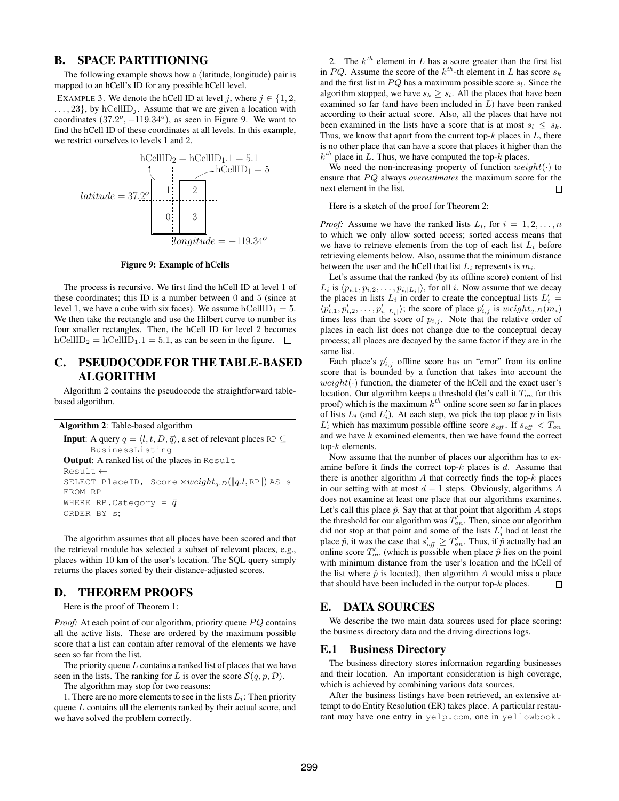### <span id="page-9-0"></span>B. SPACE PARTITIONING

The following example shows how a (latitude, longitude) pair is mapped to an hCell's ID for any possible hCell level.

EXAMPLE 3. We denote the hCell ID at level j, where  $j \in \{1, 2, \ldots\}$  $\dots$ , 23}, by hCellID<sub>j</sub>. Assume that we are given a location with coordinates  $(37.2^{\circ}, -119.34^{\circ})$ , as seen in Figure [9.](#page-9-5) We want to find the hCell ID of these coordinates at all levels. In this example, we restrict ourselves to levels 1 and 2.



<span id="page-9-5"></span>Figure 9: Example of hCells

The process is recursive. We first find the hCell ID at level 1 of these coordinates; this ID is a number between 0 and 5 (since at level 1, we have a cube with six faces). We assume  $hCellID_1 = 5$ . We then take the rectangle and use the Hilbert curve to number its four smaller rectangles. Then, the hCell ID for level 2 becomes  $hCellID_2 = hCellID_1.1 = 5.1$ , as can be seen in the figure.  $\square$ 

### <span id="page-9-2"></span>C. PSEUDOCODE FOR THE TABLE-BASED ALGORITHM

Algorithm [2](#page-9-1) contains the pseudocode the straightforward tablebased algorithm.

<span id="page-9-1"></span>Algorithm 2: Table-based algorithm **Input**: A query  $q = \langle l, t, D, \overline{q} \rangle$ , a set of relevant places RP ⊆ BusinessListing Output: A ranked list of the places in Result Result ← SELECT PlaceID, Score  $\times weight_{q.D}(\Vert q.l,\mathrm{RP} \Vert)$  AS s FROM RP WHERE RP. Category =  $\bar{q}$ ORDER BY s;

The algorithm assumes that all places have been scored and that the retrieval module has selected a subset of relevant places, e.g., places within 10 km of the user's location. The SQL query simply returns the places sorted by their distance-adjusted scores.

### <span id="page-9-3"></span>D. THEOREM PROOFS

Here is the proof of Theorem [1:](#page-3-2)

*Proof:* At each point of our algorithm, priority queue  $PQ$  contains all the active lists. These are ordered by the maximum possible score that a list can contain after removal of the elements we have seen so far from the list.

The priority queue  $L$  contains a ranked list of places that we have seen in the lists. The ranking for L is over the score  $\mathcal{S}(q, p, \mathcal{D})$ .

The algorithm may stop for two reasons:

1. There are no more elements to see in the lists  $L_i$ : Then priority queue  $L$  contains all the elements ranked by their actual score, and we have solved the problem correctly.

2. The  $k^{th}$  element in L has a score greater than the first list in PQ. Assume the score of the  $k^{th}$ -th element in L has score  $s_k$ and the first list in  $PQ$  has a maximum possible score  $s_l$ . Since the algorithm stopped, we have  $s_k \geq s_l$ . All the places that have been examined so far (and have been included in L) have been ranked according to their actual score. Also, all the places that have not been examined in the lists have a score that is at most  $s_l \leq s_k$ . Thus, we know that apart from the current top- $k$  places in  $L$ , there is no other place that can have a score that places it higher than the  $k^{th}$  place in L. Thus, we have computed the top- $k$  places.

We need the non-increasing property of function  $weight(\cdot)$  to ensure that PQ always *overestimates* the maximum score for the next element in the list. П

Here is a sketch of the proof for Theorem [2:](#page-3-3)

*Proof:* Assume we have the ranked lists  $L_i$ , for  $i = 1, 2, \ldots, n$ to which we only allow sorted access; sorted access means that we have to retrieve elements from the top of each list  $L_i$  before retrieving elements below. Also, assume that the minimum distance between the user and the hCell that list  $L_i$  represents is  $m_i$ .

Let's assume that the ranked (by its offline score) content of list  $L_i$  is  $\langle p_{i,1}, p_{i,2}, \ldots, p_{i,|L_i|} \rangle$ , for all i. Now assume that we decay the places in lists  $L_i$  in order to create the conceptual lists  $L'_i =$  $\langle p'_{i,1}, p'_{i,2}, \ldots, p'_{i,|L_i|} \rangle$ ; the score of place  $p'_{i,j}$  is  $weight_{q,D}(m_i)$ times less than the score of  $p_{i,j}$ . Note that the relative order of places in each list does not change due to the conceptual decay process; all places are decayed by the same factor if they are in the same list.

Each place's  $p'_{i,j}$  offline score has an "error" from its online score that is bounded by a function that takes into account the  $weight(\cdot)$  function, the diameter of the hCell and the exact user's location. Our algorithm keeps a threshold (let's call it  $T_{on}$  for this proof) which is the maximum  $k^{th}$  online score seen so far in places of lists  $L_i$  (and  $L'_i$ ). At each step, we pick the top place p in lists  $L'_{i}$  which has maximum possible offline score  $s_{off}$ . If  $s_{off} < T_{on}$ and we have  $k$  examined elements, then we have found the correct top-k elements.

Now assume that the number of places our algorithm has to examine before it finds the correct top- $k$  places is  $d$ . Assume that there is another algorithm  $A$  that correctly finds the top- $k$  places in our setting with at most  $d - 1$  steps. Obviously, algorithms A does not examine at least one place that our algorithms examines. Let's call this place  $\hat{p}$ . Say that at that point that algorithm A stops the threshold for our algorithm was  $T'_{on}$ . Then, since our algorithm did not stop at that point and some of the lists  $L_i'$  had at least the place  $\hat{p}$ , it was the case that  $s'_{off} \geq T'_{on}$ . Thus, if  $\hat{p}$  actually had an online score  $T'_{on}$  (which is possible when place  $\hat{p}$  lies on the point with minimum distance from the user's location and the hCell of the list where  $\hat{p}$  is located), then algorithm A would miss a place that should have been included in the output top- $k$  places. П

### <span id="page-9-4"></span>E. DATA SOURCES

We describe the two main data sources used for place scoring: the business directory data and the driving directions logs.

#### E.1 Business Directory

The business directory stores information regarding businesses and their location. An important consideration is high coverage, which is achieved by combining various data sources.

After the business listings have been retrieved, an extensive attempt to do Entity Resolution (ER) takes place. A particular restaurant may have one entry in <yelp.com>, one in [yellowbook.](yellowbook.com)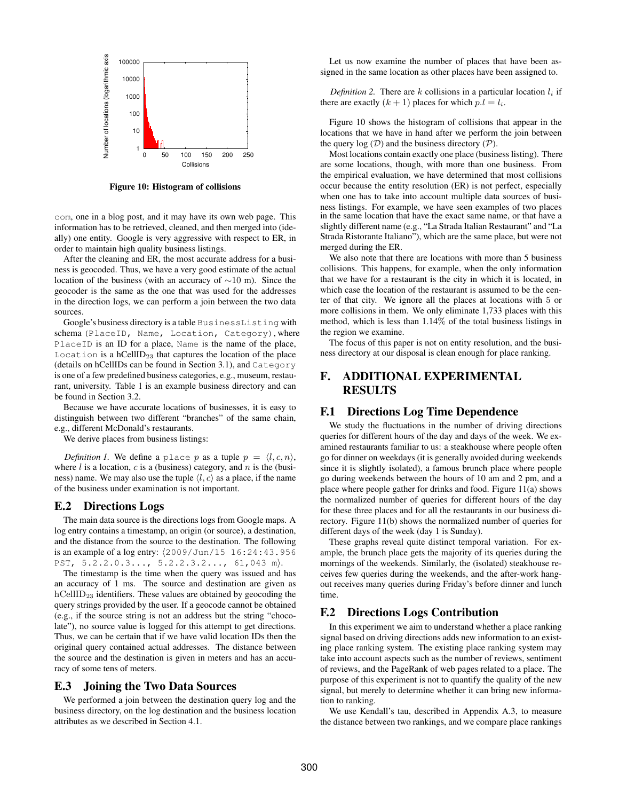

<span id="page-10-2"></span>Figure 10: Histogram of collisions

[com](yellowbook.com), one in a blog post, and it may have its own web page. This information has to be retrieved, cleaned, and then merged into (ideally) one entity. Google is very aggressive with respect to ER, in order to maintain high quality business listings.

After the cleaning and ER, the most accurate address for a business is geocoded. Thus, we have a very good estimate of the actual location of the business (with an accuracy of ∼10 m). Since the geocoder is the same as the one that was used for the addresses in the direction logs, we can perform a join between the two data sources.

Google's business directory is a table BusinessListing with schema (PlaceID, Name, Location, Category), where PlaceID is an ID for a place, Name is the name of the place, Location is a hCellID<sub>23</sub> that captures the location of the place (details on hCellIDs can be found in Section [3.1\)](#page-2-6), and Category is one of a few predefined business categories, e.g., museum, restaurant, university. Table [1](#page-2-4) is an example business directory and can be found in Section [3.2.](#page-2-7)

Because we have accurate locations of businesses, it is easy to distinguish between two different "branches" of the same chain, e.g., different McDonald's restaurants.

We derive places from business listings:

*Definition 1.* We define a place p as a tuple  $p = \langle l, c, n \rangle$ , where  $l$  is a location,  $c$  is a (business) category, and  $n$  is the (business) name. We may also use the tuple  $\langle l, c \rangle$  as a place, if the name of the business under examination is not important.

### E.2 Directions Logs

The main data source is the directions logs from Google maps. A log entry contains a timestamp, an origin (or source), a destination, and the distance from the source to the destination. The following is an example of a log entry:  $\langle 2009/Jun/15 \ 16:24:43.956$ PST,  $5.2.2.0.3...$ ,  $5.2.2.3.2...$ ,  $61,043$  m).

The timestamp is the time when the query was issued and has an accuracy of 1 ms. The source and destination are given as  $hCellID_{23}$  identifiers. These values are obtained by geocoding the query strings provided by the user. If a geocode cannot be obtained (e.g., if the source string is not an address but the string "chocolate"), no source value is logged for this attempt to get directions. Thus, we can be certain that if we have valid location IDs then the original query contained actual addresses. The distance between the source and the destination is given in meters and has an accuracy of some tens of meters.

### <span id="page-10-1"></span>E.3 Joining the Two Data Sources

We performed a join between the destination query log and the business directory, on the log destination and the business location attributes as we described in Section [4.1.](#page-4-4)

Let us now examine the number of places that have been assigned in the same location as other places have been assigned to.

*Definition 2.* There are  $k$  collisions in a particular location  $l_i$  if there are exactly  $(k + 1)$  places for which  $p.l = l_i$ .

Figure [10](#page-10-2) shows the histogram of collisions that appear in the locations that we have in hand after we perform the join between the query  $log(D)$  and the business directory  $(P)$ .

Most locations contain exactly one place (business listing). There are some locations, though, with more than one business. From the empirical evaluation, we have determined that most collisions occur because the entity resolution (ER) is not perfect, especially when one has to take into account multiple data sources of business listings. For example, we have seen examples of two places in the same location that have the exact same name, or that have a slightly different name (e.g., "La Strada Italian Restaurant" and "La Strada Ristorante Italiano"), which are the same place, but were not merged during the ER.

We also note that there are locations with more than 5 business collisions. This happens, for example, when the only information that we have for a restaurant is the city in which it is located, in which case the location of the restaurant is assumed to be the center of that city. We ignore all the places at locations with 5 or more collisions in them. We only eliminate 1,733 places with this method, which is less than 1.14% of the total business listings in the region we examine.

The focus of this paper is not on entity resolution, and the business directory at our disposal is clean enough for place ranking.

### <span id="page-10-0"></span>F. ADDITIONAL EXPERIMENTAL RESULTS

### F.1 Directions Log Time Dependence

We study the fluctuations in the number of driving directions queries for different hours of the day and days of the week. We examined restaurants familiar to us: a steakhouse where people often go for dinner on weekdays (it is generally avoided during weekends since it is slightly isolated), a famous brunch place where people go during weekends between the hours of 10 am and 2 pm, and a place where people gather for drinks and food. Figure  $11(a)$  shows the normalized number of queries for different hours of the day for these three places and for all the restaurants in our business directory. Figure [11\(b\)](#page-11-1) shows the normalized number of queries for different days of the week (day 1 is Sunday).

These graphs reveal quite distinct temporal variation. For example, the brunch place gets the majority of its queries during the mornings of the weekends. Similarly, the (isolated) steakhouse receives few queries during the weekends, and the after-work hangout receives many queries during Friday's before dinner and lunch time.

### <span id="page-10-3"></span>F.2 Directions Logs Contribution

In this experiment we aim to understand whether a place ranking signal based on driving directions adds new information to an existing place ranking system. The existing place ranking system may take into account aspects such as the number of reviews, sentiment of reviews, and the PageRank of web pages related to a place. The purpose of this experiment is not to quantify the quality of the new signal, but merely to determine whether it can bring new information to ranking.

We use Kendall's tau, described in Appendix [A.3,](#page-8-5) to measure the distance between two rankings, and we compare place rankings